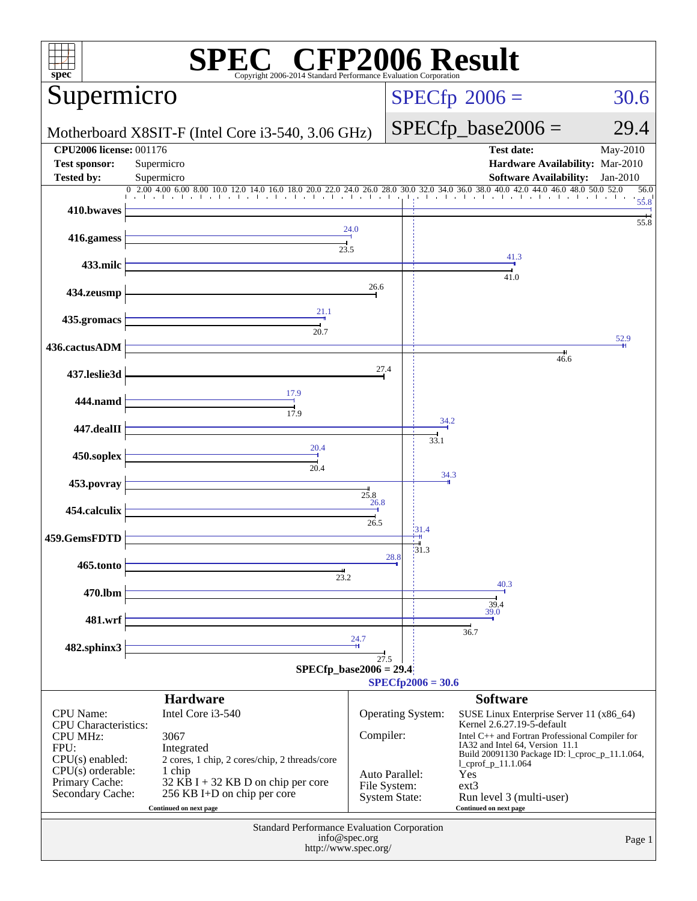| spec                                                   | Copyright 2006-2014 Standard Performance Evaluation Corporation |                                      | $\Gamma^{\circledast}$ CFP2006 Result                                                                              |  |  |  |
|--------------------------------------------------------|-----------------------------------------------------------------|--------------------------------------|--------------------------------------------------------------------------------------------------------------------|--|--|--|
| Supermicro                                             |                                                                 |                                      | $SPECfp^{\circ}2006 =$<br>30.6                                                                                     |  |  |  |
| Motherboard X8SIT-F (Intel Core i3-540, 3.06 GHz)      |                                                                 |                                      | $SPECfp\_base2006 =$<br>29.4                                                                                       |  |  |  |
| <b>CPU2006 license: 001176</b><br><b>Test sponsor:</b> | Supermicro                                                      |                                      | <b>Test date:</b><br>May-2010<br>Hardware Availability: Mar-2010                                                   |  |  |  |
| <b>Tested by:</b>                                      | Supermicro<br>$0$ 2.00 4.00 6.00 8.00 10.0                      |                                      | <b>Software Availability:</b><br>$Jan-2010$<br>30.0 32.0 34.0 36.0 38.0 40.0 42.0 44.0 46.0 48.0 50.0 52.0<br>56.0 |  |  |  |
| 410.bwaves                                             | $16.0$ $18.0$ $20.0$ $22.0$ $24.0$ $26.0$ $28.0$                |                                      | The Ford and a final<br>the book of the book of a<br>$5\overset{.}{5}.8$<br>55.8                                   |  |  |  |
| 416.gamess                                             | 23.5                                                            | 24.0                                 |                                                                                                                    |  |  |  |
| 433.milc                                               |                                                                 |                                      | 41.3<br>41.0                                                                                                       |  |  |  |
| 434.zeusmp                                             |                                                                 | 26.6                                 |                                                                                                                    |  |  |  |
| 435.gromacs                                            | 21.1<br>20.7                                                    |                                      |                                                                                                                    |  |  |  |
| 436.cactusADM                                          |                                                                 |                                      | 52.9                                                                                                               |  |  |  |
| 437.leslie3d                                           |                                                                 | 27.4                                 | $\frac{1}{46.6}$                                                                                                   |  |  |  |
| 444.namd                                               | 17.9<br>$\overline{17.9}$                                       |                                      |                                                                                                                    |  |  |  |
| 447.dealII                                             |                                                                 |                                      | 34.2<br>33.1                                                                                                       |  |  |  |
| 450.soplex                                             | 20.4<br>20.4                                                    |                                      |                                                                                                                    |  |  |  |
| 453.povray                                             |                                                                 | $\frac{1}{25.8}$<br>$\frac{26.8}{1}$ | 34.3                                                                                                               |  |  |  |
| 454.calculix                                           |                                                                 | 26.5                                 |                                                                                                                    |  |  |  |
| 459.GemsFDTD                                           |                                                                 |                                      | 31.4<br>31.3<br>28.8                                                                                               |  |  |  |
| 465.tonto                                              | $\frac{1}{23.2}$                                                |                                      |                                                                                                                    |  |  |  |
| 470.lbm                                                |                                                                 |                                      | 40.3                                                                                                               |  |  |  |
| 481.wrf                                                |                                                                 |                                      | $\frac{39.4}{39.0}$<br>36.7                                                                                        |  |  |  |
| 482.sphinx3                                            |                                                                 | 24.7<br>27.5                         |                                                                                                                    |  |  |  |
|                                                        | $SPECfp\_base2006 = 29.4$                                       |                                      |                                                                                                                    |  |  |  |
|                                                        | <b>Hardware</b>                                                 |                                      | $SPECfp2006 = 30.6$<br><b>Software</b>                                                                             |  |  |  |
| <b>CPU</b> Name:                                       | Intel Core i3-540                                               |                                      | <b>Operating System:</b><br>SUSE Linux Enterprise Server 11 (x86_64)                                               |  |  |  |
| <b>CPU</b> Characteristics:                            |                                                                 |                                      | Kernel 2.6.27.19-5-default                                                                                         |  |  |  |
| <b>CPU MHz:</b><br>FPU:                                | 3067<br>Integrated                                              | Compiler:                            | Intel C++ and Fortran Professional Compiler for<br>IA32 and Intel 64, Version 11.1                                 |  |  |  |
| $CPU(s)$ enabled:                                      | 2 cores, 1 chip, 2 cores/chip, 2 threads/core                   |                                      | Build 20091130 Package ID: 1_cproc_p_11.1.064,<br>$1$ cprof $p_11.1.064$                                           |  |  |  |
| $CPU(s)$ orderable:<br>Primary Cache:                  | 1 chip<br>$32$ KB I + 32 KB D on chip per core                  |                                      | Yes<br>Auto Parallel:<br>File System:<br>$ext{3}$                                                                  |  |  |  |
| Secondary Cache:                                       | 256 KB I+D on chip per core<br>Continued on next page           |                                      | <b>System State:</b><br>Run level 3 (multi-user)<br>Continued on next page                                         |  |  |  |
|                                                        | Standard Performance Evaluation Corporation                     |                                      |                                                                                                                    |  |  |  |
|                                                        | info@spec.org<br>http://www.spec.org/                           |                                      | Page 1                                                                                                             |  |  |  |
|                                                        |                                                                 |                                      |                                                                                                                    |  |  |  |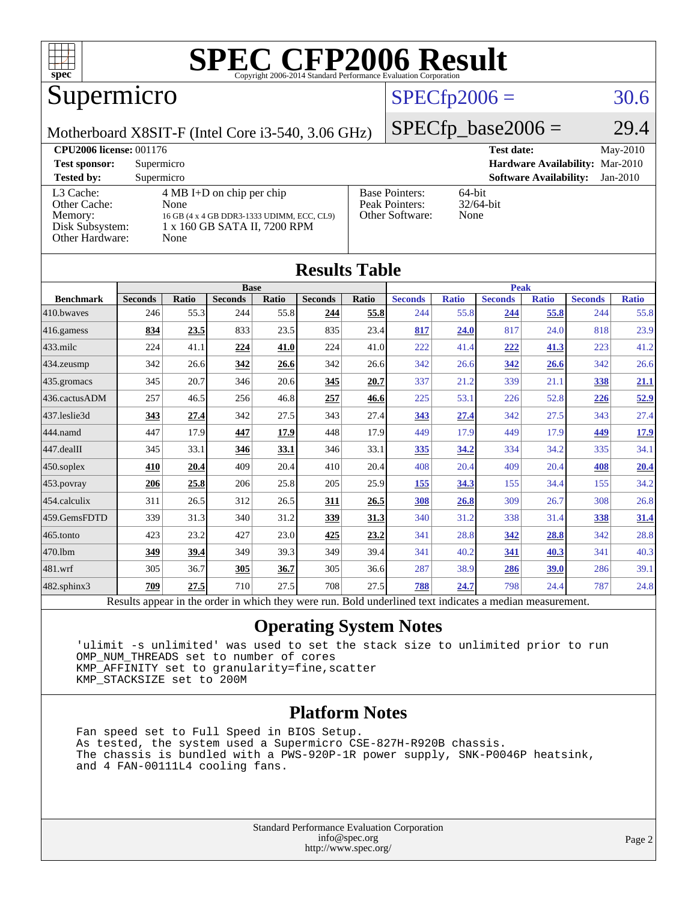

# Supermicro

# $SPECTp2006 = 30.6$

Motherboard X8SIT-F (Intel Core i3-540, 3.06 GHz)

 $SPECTp\_base2006 = 29.4$ 

| <b>CPU2006 license: 001176</b>                                             |                                                                                                                                   |                                                            | May-2010<br><b>Test date:</b>               |
|----------------------------------------------------------------------------|-----------------------------------------------------------------------------------------------------------------------------------|------------------------------------------------------------|---------------------------------------------|
| <b>Test sponsor:</b>                                                       | Supermicro                                                                                                                        |                                                            | Hardware Availability: Mar-2010             |
| <b>Tested by:</b>                                                          | Supermicro                                                                                                                        |                                                            | <b>Software Availability:</b><br>$Jan-2010$ |
| L3 Cache:<br>Other Cache:<br>Memory:<br>Disk Subsystem:<br>Other Hardware: | $4 \text{ MB I+D}$ on chip per chip<br>None<br>16 GB (4 x 4 GB DDR3-1333 UDIMM, ECC, CL9)<br>1 x 160 GB SATA II, 7200 RPM<br>None | <b>Base Pointers:</b><br>Peak Pointers:<br>Other Software: | 64-bit<br>$32/64$ -bit<br>None              |

**[Results Table](http://www.spec.org/auto/cpu2006/Docs/result-fields.html#ResultsTable)**

| Results Table                                                                                            |                |              |                |       |                |             |                |              |                |              |                |              |
|----------------------------------------------------------------------------------------------------------|----------------|--------------|----------------|-------|----------------|-------------|----------------|--------------|----------------|--------------|----------------|--------------|
|                                                                                                          | <b>Base</b>    |              |                |       |                | <b>Peak</b> |                |              |                |              |                |              |
| <b>Benchmark</b>                                                                                         | <b>Seconds</b> | <b>Ratio</b> | <b>Seconds</b> | Ratio | <b>Seconds</b> | Ratio       | <b>Seconds</b> | <b>Ratio</b> | <b>Seconds</b> | <b>Ratio</b> | <b>Seconds</b> | <b>Ratio</b> |
| 410.bwayes                                                                                               | 246            | 55.3         | 244            | 55.8  | 244            | 55.8        | 244            | 55.8         | <u>244</u>     | 55.8         | 244            | 55.8         |
| 416.gamess                                                                                               | 834            | 23.5         | 833            | 23.5  | 835            | 23.4        | 817            | 24.0         | 817            | 24.0         | 818            | 23.9         |
| $433$ .milc                                                                                              | 224            | 41.1         | 224            | 41.0  | 224            | 41.0        | 222            | 41.4         | 222            | 41.3         | 223            | 41.2         |
| 434.zeusmp                                                                                               | 342            | 26.6         | 342            | 26.6  | 342            | 26.6        | 342            | 26.6         | 342            | 26.6         | 342            | 26.6         |
| 435.gromacs                                                                                              | 345            | 20.7         | 346            | 20.6  | 345            | 20.7        | 337            | 21.2         | 339            | 21.1         | 338            | <u>21.1</u>  |
| 436.cactusADM                                                                                            | 257            | 46.5         | 256            | 46.8  | 257            | 46.6        | 225            | 53.1         | 226            | 52.8         | <u>226</u>     | 52.9         |
| 437.leslie3d                                                                                             | 343            | 27.4         | 342            | 27.5  | 343            | 27.4        | 343            | 27.4         | 342            | 27.5         | 343            | 27.4         |
| 444.namd                                                                                                 | 447            | 17.9         | 447            | 17.9  | 448            | 17.9        | 449            | 17.9         | 449            | 17.9         | 449            | <u>17.9</u>  |
| 447.dealII                                                                                               | 345            | 33.1         | 346            | 33.1  | 346            | 33.1        | 335            | 34.2         | 334            | 34.2         | 335            | 34.1         |
| $450$ .soplex                                                                                            | 410            | 20.4         | 409            | 20.4  | 410            | 20.4        | 408            | 20.4         | 409            | 20.4         | 408            | 20.4         |
| $453$ .povray                                                                                            | 206            | 25.8         | 206            | 25.8  | 205            | 25.9        | 155            | 34.3         | 155            | 34.4         | 155            | 34.2         |
| 454.calculix                                                                                             | 311            | 26.5         | 312            | 26.5  | 311            | 26.5        | 308            | 26.8         | 309            | 26.7         | 308            | 26.8         |
| 459.GemsFDTD                                                                                             | 339            | 31.3         | 340            | 31.2  | 339            | 31.3        | 340            | 31.2         | 338            | 31.4         | 338            | 31.4         |
| 465.tonto                                                                                                | 423            | 23.2         | 427            | 23.0  | 425            | 23.2        | 341            | 28.8         | 342            | 28.8         | 342            | 28.8         |
| 470.1bm                                                                                                  | 349            | 39.4         | 349            | 39.3  | 349            | 39.4        | 341            | 40.2         | <u>341</u>     | 40.3         | 341            | 40.3         |
| 481.wrf                                                                                                  | 305            | 36.7         | 305            | 36.7  | 305            | 36.6        | 287            | 38.9         | 286            | 39.0         | 286            | 39.1         |
| $482$ .sphinx $3$                                                                                        | 709            | 27.5         | 710            | 27.5  | 708            | 27.5        | 788            | 24.7         | 798            | 24.4         | 787            | 24.8         |
| Results appear in the order in which they were run. Bold underlined text indicates a median measurement. |                |              |                |       |                |             |                |              |                |              |                |              |

#### **[Operating System Notes](http://www.spec.org/auto/cpu2006/Docs/result-fields.html#OperatingSystemNotes)**

 'ulimit -s unlimited' was used to set the stack size to unlimited prior to run OMP\_NUM\_THREADS set to number of cores KMP\_AFFINITY set to granularity=fine,scatter KMP\_STACKSIZE set to 200M

#### **[Platform Notes](http://www.spec.org/auto/cpu2006/Docs/result-fields.html#PlatformNotes)**

 Fan speed set to Full Speed in BIOS Setup. As tested, the system used a Supermicro CSE-827H-R920B chassis. The chassis is bundled with a PWS-920P-1R power supply, SNK-P0046P heatsink, and 4 FAN-00111L4 cooling fans.

> Standard Performance Evaluation Corporation [info@spec.org](mailto:info@spec.org) <http://www.spec.org/>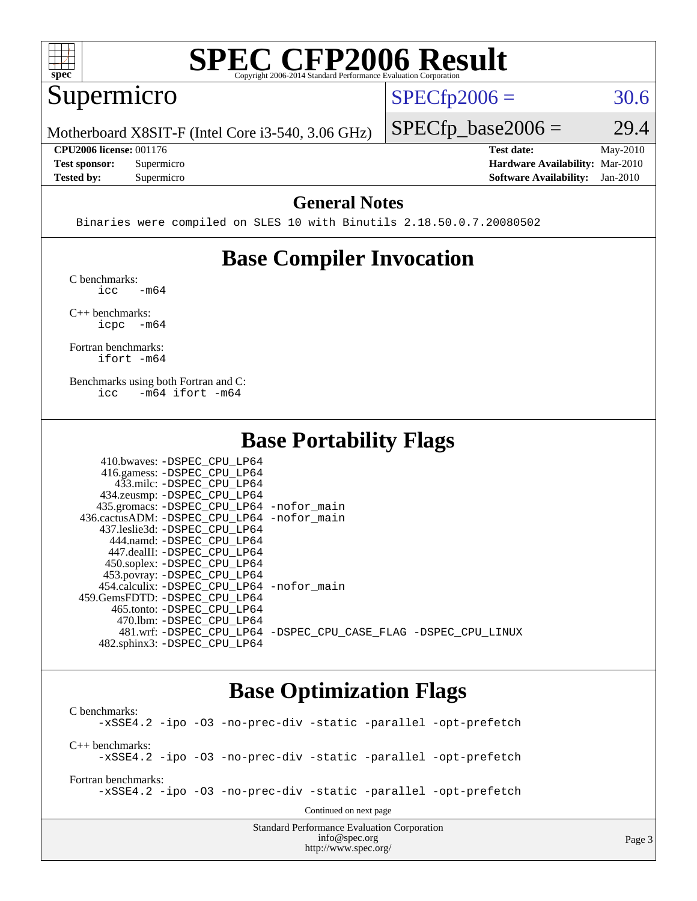

#### Supermicro

 $SPECTp2006 = 30.6$ 

Page 3

Motherboard X8SIT-F (Intel Core i3-540, 3.06 GHz)

**[CPU2006 license:](http://www.spec.org/auto/cpu2006/Docs/result-fields.html#CPU2006license)** 001176 **[Test date:](http://www.spec.org/auto/cpu2006/Docs/result-fields.html#Testdate)** May-2010

 $SPECTp\_base2006 = 29.4$ 

**[Test sponsor:](http://www.spec.org/auto/cpu2006/Docs/result-fields.html#Testsponsor)** Supermicro **[Hardware Availability:](http://www.spec.org/auto/cpu2006/Docs/result-fields.html#HardwareAvailability)** Mar-2010 **[Tested by:](http://www.spec.org/auto/cpu2006/Docs/result-fields.html#Testedby)** Supermicro **[Software Availability:](http://www.spec.org/auto/cpu2006/Docs/result-fields.html#SoftwareAvailability)** Jan-2010

#### **[General Notes](http://www.spec.org/auto/cpu2006/Docs/result-fields.html#GeneralNotes)**

Binaries were compiled on SLES 10 with Binutils 2.18.50.0.7.20080502

## **[Base Compiler Invocation](http://www.spec.org/auto/cpu2006/Docs/result-fields.html#BaseCompilerInvocation)**

[C benchmarks](http://www.spec.org/auto/cpu2006/Docs/result-fields.html#Cbenchmarks):  $\text{icc}$   $-\text{m64}$ 

[C++ benchmarks:](http://www.spec.org/auto/cpu2006/Docs/result-fields.html#CXXbenchmarks) [icpc -m64](http://www.spec.org/cpu2006/results/res2010q3/cpu2006-20100608-11664.flags.html#user_CXXbase_intel_icpc_64bit_bedb90c1146cab66620883ef4f41a67e)

[Fortran benchmarks](http://www.spec.org/auto/cpu2006/Docs/result-fields.html#Fortranbenchmarks): [ifort -m64](http://www.spec.org/cpu2006/results/res2010q3/cpu2006-20100608-11664.flags.html#user_FCbase_intel_ifort_64bit_ee9d0fb25645d0210d97eb0527dcc06e)

[Benchmarks using both Fortran and C](http://www.spec.org/auto/cpu2006/Docs/result-fields.html#BenchmarksusingbothFortranandC): [icc -m64](http://www.spec.org/cpu2006/results/res2010q3/cpu2006-20100608-11664.flags.html#user_CC_FCbase_intel_icc_64bit_0b7121f5ab7cfabee23d88897260401c) [ifort -m64](http://www.spec.org/cpu2006/results/res2010q3/cpu2006-20100608-11664.flags.html#user_CC_FCbase_intel_ifort_64bit_ee9d0fb25645d0210d97eb0527dcc06e)

### **[Base Portability Flags](http://www.spec.org/auto/cpu2006/Docs/result-fields.html#BasePortabilityFlags)**

| 410.bwaves: -DSPEC CPU LP64                 |                                                                |
|---------------------------------------------|----------------------------------------------------------------|
| 416.gamess: -DSPEC_CPU_LP64                 |                                                                |
| 433.milc: -DSPEC CPU LP64                   |                                                                |
| 434.zeusmp: -DSPEC_CPU_LP64                 |                                                                |
| 435.gromacs: -DSPEC_CPU_LP64 -nofor_main    |                                                                |
| 436.cactusADM: -DSPEC CPU LP64 -nofor main  |                                                                |
| 437.leslie3d: -DSPEC CPU LP64               |                                                                |
| 444.namd: - DSPEC CPU LP64                  |                                                                |
| 447.dealII: -DSPEC CPU LP64                 |                                                                |
| 450.soplex: -DSPEC_CPU_LP64                 |                                                                |
| 453.povray: -DSPEC_CPU_LP64                 |                                                                |
| 454.calculix: - DSPEC CPU LP64 - nofor main |                                                                |
| 459.GemsFDTD: -DSPEC_CPU LP64               |                                                                |
| 465.tonto: -DSPEC CPU LP64                  |                                                                |
| 470.1bm: - DSPEC CPU LP64                   |                                                                |
|                                             | 481.wrf: -DSPEC CPU_LP64 -DSPEC_CPU_CASE_FLAG -DSPEC_CPU_LINUX |
| 482.sphinx3: -DSPEC_CPU_LP64                |                                                                |

### **[Base Optimization Flags](http://www.spec.org/auto/cpu2006/Docs/result-fields.html#BaseOptimizationFlags)**

<http://www.spec.org/>

Standard Performance Evaluation Corporation [info@spec.org](mailto:info@spec.org) [C benchmarks](http://www.spec.org/auto/cpu2006/Docs/result-fields.html#Cbenchmarks): [-xSSE4.2](http://www.spec.org/cpu2006/results/res2010q3/cpu2006-20100608-11664.flags.html#user_CCbase_f-xSSE42_f91528193cf0b216347adb8b939d4107) [-ipo](http://www.spec.org/cpu2006/results/res2010q3/cpu2006-20100608-11664.flags.html#user_CCbase_f-ipo) [-O3](http://www.spec.org/cpu2006/results/res2010q3/cpu2006-20100608-11664.flags.html#user_CCbase_f-O3) [-no-prec-div](http://www.spec.org/cpu2006/results/res2010q3/cpu2006-20100608-11664.flags.html#user_CCbase_f-no-prec-div) [-static](http://www.spec.org/cpu2006/results/res2010q3/cpu2006-20100608-11664.flags.html#user_CCbase_f-static) [-parallel](http://www.spec.org/cpu2006/results/res2010q3/cpu2006-20100608-11664.flags.html#user_CCbase_f-parallel) [-opt-prefetch](http://www.spec.org/cpu2006/results/res2010q3/cpu2006-20100608-11664.flags.html#user_CCbase_f-opt-prefetch) [C++ benchmarks:](http://www.spec.org/auto/cpu2006/Docs/result-fields.html#CXXbenchmarks) [-xSSE4.2](http://www.spec.org/cpu2006/results/res2010q3/cpu2006-20100608-11664.flags.html#user_CXXbase_f-xSSE42_f91528193cf0b216347adb8b939d4107) [-ipo](http://www.spec.org/cpu2006/results/res2010q3/cpu2006-20100608-11664.flags.html#user_CXXbase_f-ipo) [-O3](http://www.spec.org/cpu2006/results/res2010q3/cpu2006-20100608-11664.flags.html#user_CXXbase_f-O3) [-no-prec-div](http://www.spec.org/cpu2006/results/res2010q3/cpu2006-20100608-11664.flags.html#user_CXXbase_f-no-prec-div) [-static](http://www.spec.org/cpu2006/results/res2010q3/cpu2006-20100608-11664.flags.html#user_CXXbase_f-static) [-parallel](http://www.spec.org/cpu2006/results/res2010q3/cpu2006-20100608-11664.flags.html#user_CXXbase_f-parallel) [-opt-prefetch](http://www.spec.org/cpu2006/results/res2010q3/cpu2006-20100608-11664.flags.html#user_CXXbase_f-opt-prefetch) [Fortran benchmarks](http://www.spec.org/auto/cpu2006/Docs/result-fields.html#Fortranbenchmarks): [-xSSE4.2](http://www.spec.org/cpu2006/results/res2010q3/cpu2006-20100608-11664.flags.html#user_FCbase_f-xSSE42_f91528193cf0b216347adb8b939d4107) [-ipo](http://www.spec.org/cpu2006/results/res2010q3/cpu2006-20100608-11664.flags.html#user_FCbase_f-ipo) [-O3](http://www.spec.org/cpu2006/results/res2010q3/cpu2006-20100608-11664.flags.html#user_FCbase_f-O3) [-no-prec-div](http://www.spec.org/cpu2006/results/res2010q3/cpu2006-20100608-11664.flags.html#user_FCbase_f-no-prec-div) [-static](http://www.spec.org/cpu2006/results/res2010q3/cpu2006-20100608-11664.flags.html#user_FCbase_f-static) [-parallel](http://www.spec.org/cpu2006/results/res2010q3/cpu2006-20100608-11664.flags.html#user_FCbase_f-parallel) [-opt-prefetch](http://www.spec.org/cpu2006/results/res2010q3/cpu2006-20100608-11664.flags.html#user_FCbase_f-opt-prefetch) Continued on next page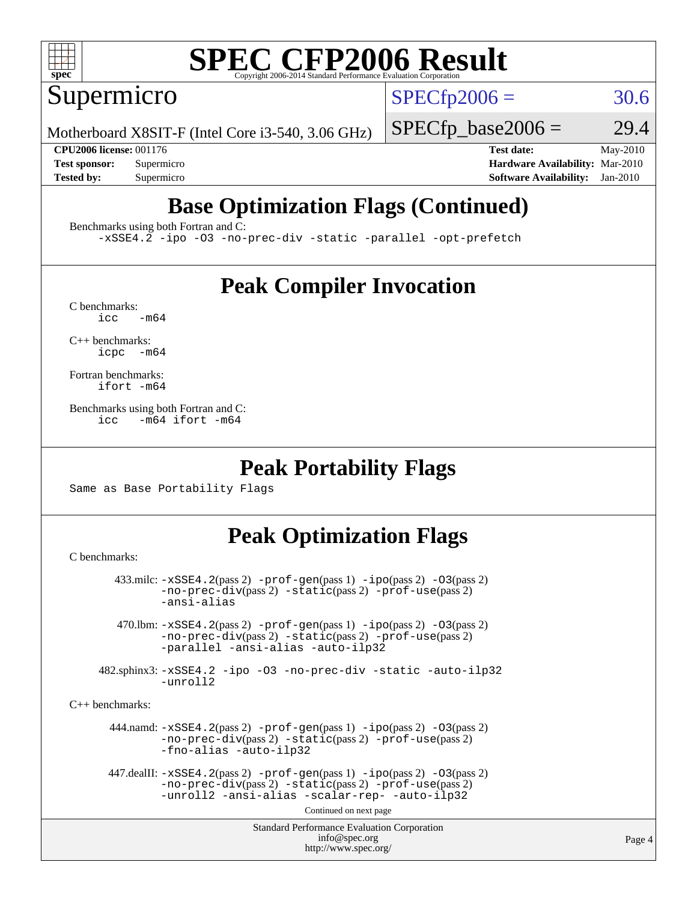

Supermicro

 $SPECTp2006 = 30.6$ 

Motherboard X8SIT-F (Intel Core i3-540, 3.06 GHz)

 $SPECTp\_base2006 = 29.4$ 

**[CPU2006 license:](http://www.spec.org/auto/cpu2006/Docs/result-fields.html#CPU2006license)** 001176 **[Test date:](http://www.spec.org/auto/cpu2006/Docs/result-fields.html#Testdate)** May-2010 **[Test sponsor:](http://www.spec.org/auto/cpu2006/Docs/result-fields.html#Testsponsor)** Supermicro **[Hardware Availability:](http://www.spec.org/auto/cpu2006/Docs/result-fields.html#HardwareAvailability)** Mar-2010 **[Tested by:](http://www.spec.org/auto/cpu2006/Docs/result-fields.html#Testedby)** Supermicro **[Software Availability:](http://www.spec.org/auto/cpu2006/Docs/result-fields.html#SoftwareAvailability)** Jan-2010

# **[Base Optimization Flags \(Continued\)](http://www.spec.org/auto/cpu2006/Docs/result-fields.html#BaseOptimizationFlags)**

[Benchmarks using both Fortran and C](http://www.spec.org/auto/cpu2006/Docs/result-fields.html#BenchmarksusingbothFortranandC):

[-xSSE4.2](http://www.spec.org/cpu2006/results/res2010q3/cpu2006-20100608-11664.flags.html#user_CC_FCbase_f-xSSE42_f91528193cf0b216347adb8b939d4107) [-ipo](http://www.spec.org/cpu2006/results/res2010q3/cpu2006-20100608-11664.flags.html#user_CC_FCbase_f-ipo) [-O3](http://www.spec.org/cpu2006/results/res2010q3/cpu2006-20100608-11664.flags.html#user_CC_FCbase_f-O3) [-no-prec-div](http://www.spec.org/cpu2006/results/res2010q3/cpu2006-20100608-11664.flags.html#user_CC_FCbase_f-no-prec-div) [-static](http://www.spec.org/cpu2006/results/res2010q3/cpu2006-20100608-11664.flags.html#user_CC_FCbase_f-static) [-parallel](http://www.spec.org/cpu2006/results/res2010q3/cpu2006-20100608-11664.flags.html#user_CC_FCbase_f-parallel) [-opt-prefetch](http://www.spec.org/cpu2006/results/res2010q3/cpu2006-20100608-11664.flags.html#user_CC_FCbase_f-opt-prefetch)

## **[Peak Compiler Invocation](http://www.spec.org/auto/cpu2006/Docs/result-fields.html#PeakCompilerInvocation)**

 $C$  benchmarks:<br>icc  $-m64$ 

[C++ benchmarks:](http://www.spec.org/auto/cpu2006/Docs/result-fields.html#CXXbenchmarks) [icpc -m64](http://www.spec.org/cpu2006/results/res2010q3/cpu2006-20100608-11664.flags.html#user_CXXpeak_intel_icpc_64bit_bedb90c1146cab66620883ef4f41a67e)

[Fortran benchmarks](http://www.spec.org/auto/cpu2006/Docs/result-fields.html#Fortranbenchmarks): [ifort -m64](http://www.spec.org/cpu2006/results/res2010q3/cpu2006-20100608-11664.flags.html#user_FCpeak_intel_ifort_64bit_ee9d0fb25645d0210d97eb0527dcc06e)

[Benchmarks using both Fortran and C](http://www.spec.org/auto/cpu2006/Docs/result-fields.html#BenchmarksusingbothFortranandC): [icc -m64](http://www.spec.org/cpu2006/results/res2010q3/cpu2006-20100608-11664.flags.html#user_CC_FCpeak_intel_icc_64bit_0b7121f5ab7cfabee23d88897260401c) [ifort -m64](http://www.spec.org/cpu2006/results/res2010q3/cpu2006-20100608-11664.flags.html#user_CC_FCpeak_intel_ifort_64bit_ee9d0fb25645d0210d97eb0527dcc06e)

### **[Peak Portability Flags](http://www.spec.org/auto/cpu2006/Docs/result-fields.html#PeakPortabilityFlags)**

Same as Base Portability Flags

## **[Peak Optimization Flags](http://www.spec.org/auto/cpu2006/Docs/result-fields.html#PeakOptimizationFlags)**

[C benchmarks](http://www.spec.org/auto/cpu2006/Docs/result-fields.html#Cbenchmarks):

```
Standard Performance Evaluation Corporation
                                           info@spec.org
                                         http://www.spec.org/
        433.milc: -xSSE4.2(pass 2) -prof-gen(pass 1) -ipo(pass 2) -O3(pass 2)
                -no-prec-div(pass 2) -static(pass 2) -prof-use(pass 2)
                -ansi-alias
         470.lbm: -xSSE4.2(pass 2) -prof-gen(pass 1) -ipo(pass 2) -O3(pass 2)
                -no-prec-div(pass 2) -static(pass 2) -prof-use(pass 2)
                -parallel -ansi-alias -auto-ilp32
      482.sphinx3: -xSSE4.2 -ipo -O3 -no-prec-div -static -auto-ilp32
                -unroll2
C++ benchmarks: 
        444.namd: -xSSE4.2(pass 2) -prof-gen(pass 1) -ipo(pass 2) -O3(pass 2)
                -no-prec-div(pass 2) -static(pass 2) -prof-use(pass 2)
                -fno-alias -auto-ilp32
      447.dealII: -xSSE4. 2(pass 2)-prof-gen-ipo(pass 2) -03(pass 2)
                -no-prec-div(pass 2) -static(pass 2) -prof-use(pass 2)
                -unroll2 -ansi-alias -scalar-rep- -auto-ilp32
                                         Continued on next page
```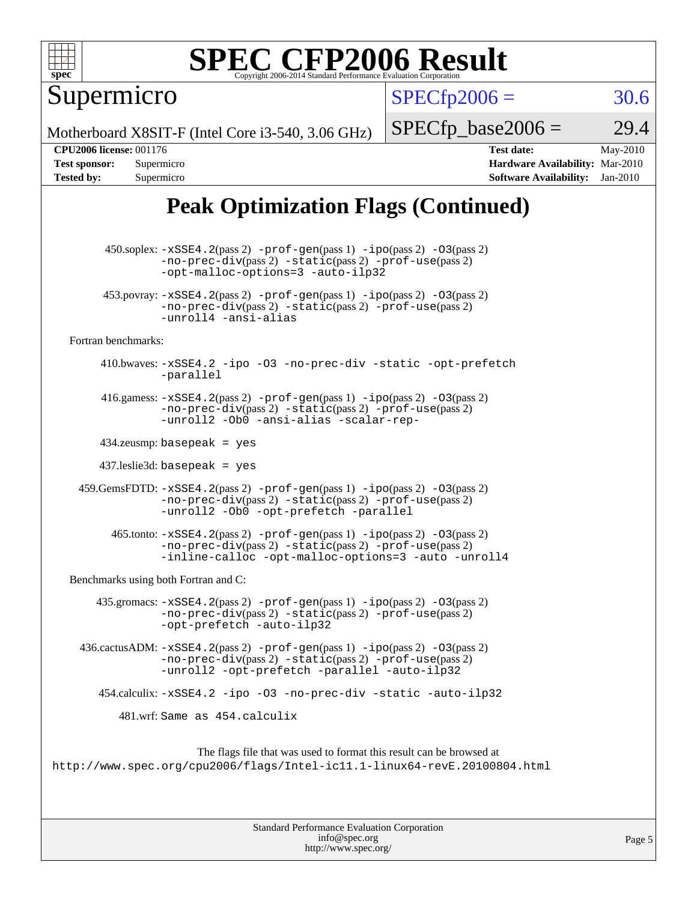

Supermicro

 $SPECTp2006 = 30.6$ 

Motherboard X8SIT-F (Intel Core i3-540, 3.06 GHz)

 $SPECTp\_base2006 = 29.4$ 

**[CPU2006 license:](http://www.spec.org/auto/cpu2006/Docs/result-fields.html#CPU2006license)** 001176 **[Test date:](http://www.spec.org/auto/cpu2006/Docs/result-fields.html#Testdate)** May-2010 **[Test sponsor:](http://www.spec.org/auto/cpu2006/Docs/result-fields.html#Testsponsor)** Supermicro **[Hardware Availability:](http://www.spec.org/auto/cpu2006/Docs/result-fields.html#HardwareAvailability)** Mar-2010 **[Tested by:](http://www.spec.org/auto/cpu2006/Docs/result-fields.html#Testedby)** Supermicro **[Software Availability:](http://www.spec.org/auto/cpu2006/Docs/result-fields.html#SoftwareAvailability)** Jan-2010

# **[Peak Optimization Flags \(Continued\)](http://www.spec.org/auto/cpu2006/Docs/result-fields.html#PeakOptimizationFlags)**

 450.soplex: [-xSSE4.2](http://www.spec.org/cpu2006/results/res2010q3/cpu2006-20100608-11664.flags.html#user_peakPASS2_CXXFLAGSPASS2_LDFLAGS450_soplex_f-xSSE42_f91528193cf0b216347adb8b939d4107)(pass 2) [-prof-gen](http://www.spec.org/cpu2006/results/res2010q3/cpu2006-20100608-11664.flags.html#user_peakPASS1_CXXFLAGSPASS1_LDFLAGS450_soplex_prof_gen_e43856698f6ca7b7e442dfd80e94a8fc)(pass 1) [-ipo](http://www.spec.org/cpu2006/results/res2010q3/cpu2006-20100608-11664.flags.html#user_peakPASS2_CXXFLAGSPASS2_LDFLAGS450_soplex_f-ipo)(pass 2) [-O3](http://www.spec.org/cpu2006/results/res2010q3/cpu2006-20100608-11664.flags.html#user_peakPASS2_CXXFLAGSPASS2_LDFLAGS450_soplex_f-O3)(pass 2) [-no-prec-div](http://www.spec.org/cpu2006/results/res2010q3/cpu2006-20100608-11664.flags.html#user_peakPASS2_CXXFLAGSPASS2_LDFLAGS450_soplex_f-no-prec-div)(pass 2) [-static](http://www.spec.org/cpu2006/results/res2010q3/cpu2006-20100608-11664.flags.html#user_peakPASS2_CXXFLAGSPASS2_LDFLAGS450_soplex_f-static)(pass 2) [-prof-use](http://www.spec.org/cpu2006/results/res2010q3/cpu2006-20100608-11664.flags.html#user_peakPASS2_CXXFLAGSPASS2_LDFLAGS450_soplex_prof_use_bccf7792157ff70d64e32fe3e1250b55)(pass 2) [-opt-malloc-options=3](http://www.spec.org/cpu2006/results/res2010q3/cpu2006-20100608-11664.flags.html#user_peakOPTIMIZE450_soplex_f-opt-malloc-options_13ab9b803cf986b4ee62f0a5998c2238) [-auto-ilp32](http://www.spec.org/cpu2006/results/res2010q3/cpu2006-20100608-11664.flags.html#user_peakCXXOPTIMIZE450_soplex_f-auto-ilp32) 453.povray:  $-xSSE4$ . 2(pass 2)  $-prof-gen(pass 1) -ipo(pass 2) -O3(pass 2)$  $-prof-gen(pass 1) -ipo(pass 2) -O3(pass 2)$  $-prof-gen(pass 1) -ipo(pass 2) -O3(pass 2)$  $-prof-gen(pass 1) -ipo(pass 2) -O3(pass 2)$  $-prof-gen(pass 1) -ipo(pass 2) -O3(pass 2)$  $-prof-gen(pass 1) -ipo(pass 2) -O3(pass 2)$ [-no-prec-div](http://www.spec.org/cpu2006/results/res2010q3/cpu2006-20100608-11664.flags.html#user_peakPASS2_CXXFLAGSPASS2_LDFLAGS453_povray_f-no-prec-div)(pass 2) [-static](http://www.spec.org/cpu2006/results/res2010q3/cpu2006-20100608-11664.flags.html#user_peakPASS2_CXXFLAGSPASS2_LDFLAGS453_povray_f-static)(pass 2) [-prof-use](http://www.spec.org/cpu2006/results/res2010q3/cpu2006-20100608-11664.flags.html#user_peakPASS2_CXXFLAGSPASS2_LDFLAGS453_povray_prof_use_bccf7792157ff70d64e32fe3e1250b55)(pass 2) [-unroll4](http://www.spec.org/cpu2006/results/res2010q3/cpu2006-20100608-11664.flags.html#user_peakCXXOPTIMIZE453_povray_f-unroll_4e5e4ed65b7fd20bdcd365bec371b81f) [-ansi-alias](http://www.spec.org/cpu2006/results/res2010q3/cpu2006-20100608-11664.flags.html#user_peakCXXOPTIMIZE453_povray_f-ansi-alias) [Fortran benchmarks](http://www.spec.org/auto/cpu2006/Docs/result-fields.html#Fortranbenchmarks): 410.bwaves: [-xSSE4.2](http://www.spec.org/cpu2006/results/res2010q3/cpu2006-20100608-11664.flags.html#user_peakOPTIMIZE410_bwaves_f-xSSE42_f91528193cf0b216347adb8b939d4107) [-ipo](http://www.spec.org/cpu2006/results/res2010q3/cpu2006-20100608-11664.flags.html#user_peakOPTIMIZE410_bwaves_f-ipo) [-O3](http://www.spec.org/cpu2006/results/res2010q3/cpu2006-20100608-11664.flags.html#user_peakOPTIMIZE410_bwaves_f-O3) [-no-prec-div](http://www.spec.org/cpu2006/results/res2010q3/cpu2006-20100608-11664.flags.html#user_peakOPTIMIZE410_bwaves_f-no-prec-div) [-static](http://www.spec.org/cpu2006/results/res2010q3/cpu2006-20100608-11664.flags.html#user_peakOPTIMIZE410_bwaves_f-static) [-opt-prefetch](http://www.spec.org/cpu2006/results/res2010q3/cpu2006-20100608-11664.flags.html#user_peakOPTIMIZE410_bwaves_f-opt-prefetch) [-parallel](http://www.spec.org/cpu2006/results/res2010q3/cpu2006-20100608-11664.flags.html#user_peakOPTIMIZE410_bwaves_f-parallel) 416.gamess:  $-xSSE4$ . 2(pass 2)  $-prof-gen(pass 1) -ipo(pass 2) -O3(pass 2)$  $-prof-gen(pass 1) -ipo(pass 2) -O3(pass 2)$  $-prof-gen(pass 1) -ipo(pass 2) -O3(pass 2)$  $-prof-gen(pass 1) -ipo(pass 2) -O3(pass 2)$  $-prof-gen(pass 1) -ipo(pass 2) -O3(pass 2)$  $-prof-gen(pass 1) -ipo(pass 2) -O3(pass 2)$ [-no-prec-div](http://www.spec.org/cpu2006/results/res2010q3/cpu2006-20100608-11664.flags.html#user_peakPASS2_FFLAGSPASS2_LDFLAGS416_gamess_f-no-prec-div)(pass 2) [-static](http://www.spec.org/cpu2006/results/res2010q3/cpu2006-20100608-11664.flags.html#user_peakPASS2_FFLAGSPASS2_LDFLAGS416_gamess_f-static)(pass 2) [-prof-use](http://www.spec.org/cpu2006/results/res2010q3/cpu2006-20100608-11664.flags.html#user_peakPASS2_FFLAGSPASS2_LDFLAGS416_gamess_prof_use_bccf7792157ff70d64e32fe3e1250b55)(pass 2) [-unroll2](http://www.spec.org/cpu2006/results/res2010q3/cpu2006-20100608-11664.flags.html#user_peakOPTIMIZE416_gamess_f-unroll_784dae83bebfb236979b41d2422d7ec2) [-Ob0](http://www.spec.org/cpu2006/results/res2010q3/cpu2006-20100608-11664.flags.html#user_peakOPTIMIZE416_gamess_f-Ob_n_fbe6f6428adb7d4b74b1e99bb2444c2d) [-ansi-alias](http://www.spec.org/cpu2006/results/res2010q3/cpu2006-20100608-11664.flags.html#user_peakOPTIMIZE416_gamess_f-ansi-alias) [-scalar-rep-](http://www.spec.org/cpu2006/results/res2010q3/cpu2006-20100608-11664.flags.html#user_peakOPTIMIZE416_gamess_f-disablescalarrep_abbcad04450fb118e4809c81d83c8a1d) 434.zeusmp: basepeak = yes 437.leslie3d: basepeak = yes 459.GemsFDTD: [-xSSE4.2](http://www.spec.org/cpu2006/results/res2010q3/cpu2006-20100608-11664.flags.html#user_peakPASS2_FFLAGSPASS2_LDFLAGS459_GemsFDTD_f-xSSE42_f91528193cf0b216347adb8b939d4107)(pass 2) [-prof-gen](http://www.spec.org/cpu2006/results/res2010q3/cpu2006-20100608-11664.flags.html#user_peakPASS1_FFLAGSPASS1_LDFLAGS459_GemsFDTD_prof_gen_e43856698f6ca7b7e442dfd80e94a8fc)(pass 1) [-ipo](http://www.spec.org/cpu2006/results/res2010q3/cpu2006-20100608-11664.flags.html#user_peakPASS2_FFLAGSPASS2_LDFLAGS459_GemsFDTD_f-ipo)(pass 2) [-O3](http://www.spec.org/cpu2006/results/res2010q3/cpu2006-20100608-11664.flags.html#user_peakPASS2_FFLAGSPASS2_LDFLAGS459_GemsFDTD_f-O3)(pass 2) [-no-prec-div](http://www.spec.org/cpu2006/results/res2010q3/cpu2006-20100608-11664.flags.html#user_peakPASS2_FFLAGSPASS2_LDFLAGS459_GemsFDTD_f-no-prec-div)(pass 2) [-static](http://www.spec.org/cpu2006/results/res2010q3/cpu2006-20100608-11664.flags.html#user_peakPASS2_FFLAGSPASS2_LDFLAGS459_GemsFDTD_f-static)(pass 2) [-prof-use](http://www.spec.org/cpu2006/results/res2010q3/cpu2006-20100608-11664.flags.html#user_peakPASS2_FFLAGSPASS2_LDFLAGS459_GemsFDTD_prof_use_bccf7792157ff70d64e32fe3e1250b55)(pass 2) [-unroll2](http://www.spec.org/cpu2006/results/res2010q3/cpu2006-20100608-11664.flags.html#user_peakOPTIMIZE459_GemsFDTD_f-unroll_784dae83bebfb236979b41d2422d7ec2) [-Ob0](http://www.spec.org/cpu2006/results/res2010q3/cpu2006-20100608-11664.flags.html#user_peakOPTIMIZE459_GemsFDTD_f-Ob_n_fbe6f6428adb7d4b74b1e99bb2444c2d) [-opt-prefetch](http://www.spec.org/cpu2006/results/res2010q3/cpu2006-20100608-11664.flags.html#user_peakOPTIMIZE459_GemsFDTD_f-opt-prefetch) [-parallel](http://www.spec.org/cpu2006/results/res2010q3/cpu2006-20100608-11664.flags.html#user_peakOPTIMIZE459_GemsFDTD_f-parallel)  $465$ .tonto:  $-xSSE4$ .  $2(pass 2)$  [-prof-gen](http://www.spec.org/cpu2006/results/res2010q3/cpu2006-20100608-11664.flags.html#user_peakPASS1_FFLAGSPASS1_LDFLAGS465_tonto_prof_gen_e43856698f6ca7b7e442dfd80e94a8fc)(pass 1) [-ipo](http://www.spec.org/cpu2006/results/res2010q3/cpu2006-20100608-11664.flags.html#user_peakPASS2_FFLAGSPASS2_LDFLAGS465_tonto_f-ipo)(pass 2) -03(pass 2) [-no-prec-div](http://www.spec.org/cpu2006/results/res2010q3/cpu2006-20100608-11664.flags.html#user_peakPASS2_FFLAGSPASS2_LDFLAGS465_tonto_f-no-prec-div)(pass 2) [-static](http://www.spec.org/cpu2006/results/res2010q3/cpu2006-20100608-11664.flags.html#user_peakPASS2_FFLAGSPASS2_LDFLAGS465_tonto_f-static)(pass 2) [-prof-use](http://www.spec.org/cpu2006/results/res2010q3/cpu2006-20100608-11664.flags.html#user_peakPASS2_FFLAGSPASS2_LDFLAGS465_tonto_prof_use_bccf7792157ff70d64e32fe3e1250b55)(pass 2) [-inline-calloc](http://www.spec.org/cpu2006/results/res2010q3/cpu2006-20100608-11664.flags.html#user_peakOPTIMIZE465_tonto_f-inline-calloc) [-opt-malloc-options=3](http://www.spec.org/cpu2006/results/res2010q3/cpu2006-20100608-11664.flags.html#user_peakOPTIMIZE465_tonto_f-opt-malloc-options_13ab9b803cf986b4ee62f0a5998c2238) [-auto](http://www.spec.org/cpu2006/results/res2010q3/cpu2006-20100608-11664.flags.html#user_peakOPTIMIZE465_tonto_f-auto) [-unroll4](http://www.spec.org/cpu2006/results/res2010q3/cpu2006-20100608-11664.flags.html#user_peakOPTIMIZE465_tonto_f-unroll_4e5e4ed65b7fd20bdcd365bec371b81f) [Benchmarks using both Fortran and C](http://www.spec.org/auto/cpu2006/Docs/result-fields.html#BenchmarksusingbothFortranandC): 435.gromacs:  $-xSSE4$ . 2(pass 2)  $-prof-gen(pass 1) -ipo(pass 2) -O3(pass 2)$  $-prof-gen(pass 1) -ipo(pass 2) -O3(pass 2)$  $-prof-gen(pass 1) -ipo(pass 2) -O3(pass 2)$  $-prof-gen(pass 1) -ipo(pass 2) -O3(pass 2)$  $-prof-gen(pass 1) -ipo(pass 2) -O3(pass 2)$  $-prof-gen(pass 1) -ipo(pass 2) -O3(pass 2)$ [-no-prec-div](http://www.spec.org/cpu2006/results/res2010q3/cpu2006-20100608-11664.flags.html#user_peakPASS2_CFLAGSPASS2_FFLAGSPASS2_LDFLAGS435_gromacs_f-no-prec-div)(pass 2) [-static](http://www.spec.org/cpu2006/results/res2010q3/cpu2006-20100608-11664.flags.html#user_peakPASS2_CFLAGSPASS2_FFLAGSPASS2_LDFLAGS435_gromacs_f-static)(pass 2) [-prof-use](http://www.spec.org/cpu2006/results/res2010q3/cpu2006-20100608-11664.flags.html#user_peakPASS2_CFLAGSPASS2_FFLAGSPASS2_LDFLAGS435_gromacs_prof_use_bccf7792157ff70d64e32fe3e1250b55)(pass 2) [-opt-prefetch](http://www.spec.org/cpu2006/results/res2010q3/cpu2006-20100608-11664.flags.html#user_peakOPTIMIZE435_gromacs_f-opt-prefetch) [-auto-ilp32](http://www.spec.org/cpu2006/results/res2010q3/cpu2006-20100608-11664.flags.html#user_peakCOPTIMIZE435_gromacs_f-auto-ilp32) 436.cactusADM: [-xSSE4.2](http://www.spec.org/cpu2006/results/res2010q3/cpu2006-20100608-11664.flags.html#user_peakPASS2_CFLAGSPASS2_FFLAGSPASS2_LDFLAGS436_cactusADM_f-xSSE42_f91528193cf0b216347adb8b939d4107)(pass 2) [-prof-gen](http://www.spec.org/cpu2006/results/res2010q3/cpu2006-20100608-11664.flags.html#user_peakPASS1_CFLAGSPASS1_FFLAGSPASS1_LDFLAGS436_cactusADM_prof_gen_e43856698f6ca7b7e442dfd80e94a8fc)(pass 1) [-ipo](http://www.spec.org/cpu2006/results/res2010q3/cpu2006-20100608-11664.flags.html#user_peakPASS2_CFLAGSPASS2_FFLAGSPASS2_LDFLAGS436_cactusADM_f-ipo)(pass 2) [-O3](http://www.spec.org/cpu2006/results/res2010q3/cpu2006-20100608-11664.flags.html#user_peakPASS2_CFLAGSPASS2_FFLAGSPASS2_LDFLAGS436_cactusADM_f-O3)(pass 2) [-no-prec-div](http://www.spec.org/cpu2006/results/res2010q3/cpu2006-20100608-11664.flags.html#user_peakPASS2_CFLAGSPASS2_FFLAGSPASS2_LDFLAGS436_cactusADM_f-no-prec-div)(pass 2) [-static](http://www.spec.org/cpu2006/results/res2010q3/cpu2006-20100608-11664.flags.html#user_peakPASS2_CFLAGSPASS2_FFLAGSPASS2_LDFLAGS436_cactusADM_f-static)(pass 2) [-prof-use](http://www.spec.org/cpu2006/results/res2010q3/cpu2006-20100608-11664.flags.html#user_peakPASS2_CFLAGSPASS2_FFLAGSPASS2_LDFLAGS436_cactusADM_prof_use_bccf7792157ff70d64e32fe3e1250b55)(pass 2) [-unroll2](http://www.spec.org/cpu2006/results/res2010q3/cpu2006-20100608-11664.flags.html#user_peakOPTIMIZE436_cactusADM_f-unroll_784dae83bebfb236979b41d2422d7ec2) [-opt-prefetch](http://www.spec.org/cpu2006/results/res2010q3/cpu2006-20100608-11664.flags.html#user_peakOPTIMIZE436_cactusADM_f-opt-prefetch) [-parallel](http://www.spec.org/cpu2006/results/res2010q3/cpu2006-20100608-11664.flags.html#user_peakOPTIMIZE436_cactusADM_f-parallel) [-auto-ilp32](http://www.spec.org/cpu2006/results/res2010q3/cpu2006-20100608-11664.flags.html#user_peakCOPTIMIZE436_cactusADM_f-auto-ilp32) 454.calculix: [-xSSE4.2](http://www.spec.org/cpu2006/results/res2010q3/cpu2006-20100608-11664.flags.html#user_peakOPTIMIZE454_calculix_f-xSSE42_f91528193cf0b216347adb8b939d4107) [-ipo](http://www.spec.org/cpu2006/results/res2010q3/cpu2006-20100608-11664.flags.html#user_peakOPTIMIZE454_calculix_f-ipo) [-O3](http://www.spec.org/cpu2006/results/res2010q3/cpu2006-20100608-11664.flags.html#user_peakOPTIMIZE454_calculix_f-O3) [-no-prec-div](http://www.spec.org/cpu2006/results/res2010q3/cpu2006-20100608-11664.flags.html#user_peakOPTIMIZE454_calculix_f-no-prec-div) [-static](http://www.spec.org/cpu2006/results/res2010q3/cpu2006-20100608-11664.flags.html#user_peakOPTIMIZE454_calculix_f-static) [-auto-ilp32](http://www.spec.org/cpu2006/results/res2010q3/cpu2006-20100608-11664.flags.html#user_peakCOPTIMIZE454_calculix_f-auto-ilp32) 481.wrf: Same as 454.calculix The flags file that was used to format this result can be browsed at <http://www.spec.org/cpu2006/flags/Intel-ic11.1-linux64-revE.20100804.html>